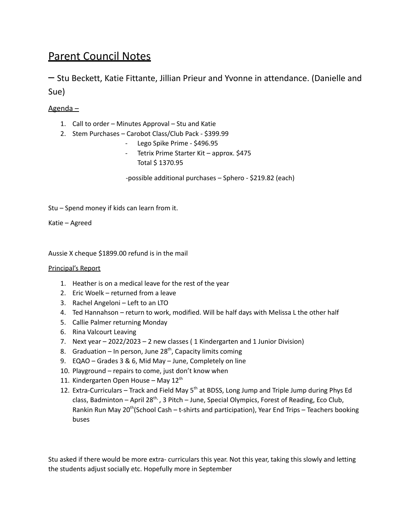## Parent Council Notes

– Stu Beckett, Katie Fittante, Jillian Prieur and Yvonne in attendance. (Danielle and Sue)

## Agenda –

- 1. Call to order Minutes Approval Stu and Katie
- 2. Stem Purchases Carobot Class/Club Pack \$399.99
	- Lego Spike Prime \$496.95
	- Tetrix Prime Starter Kit approx. \$475 Total \$ 1370.95

-possible additional purchases – Sphero - \$219.82 (each)

Stu – Spend money if kids can learn from it.

Katie – Agreed

Aussie X cheque \$1899.00 refund is in the mail

## Principal's Report

- 1. Heather is on a medical leave for the rest of the year
- 2. Eric Woelk returned from a leave
- 3. Rachel Angeloni Left to an LTO
- 4. Ted Hannahson return to work, modified. Will be half days with Melissa L the other half
- 5. Callie Palmer returning Monday
- 6. Rina Valcourt Leaving
- 7. Next year 2022/2023 2 new classes ( 1 Kindergarten and 1 Junior Division)
- 8. Graduation In person, June 28<sup>th</sup>, Capacity limits coming
- 9. EQAO Grades 3 & 6, Mid May June, Completely on line
- 10. Playground repairs to come, just don't know when
- 11. Kindergarten Open House May 12<sup>th</sup>
- 12. Extra-Curriculars Track and Field May 5<sup>th</sup> at BDSS, Long Jump and Triple Jump during Phys Ed class, Badminton – April 28<sup>th,</sup>, 3 Pitch – June, Special Olympics, Forest of Reading, Eco Club, Rankin Run May 20<sup>th</sup>(School Cash – t-shirts and participation), Year End Trips – Teachers booking buses

Stu asked if there would be more extra- curriculars this year. Not this year, taking this slowly and letting the students adjust socially etc. Hopefully more in September